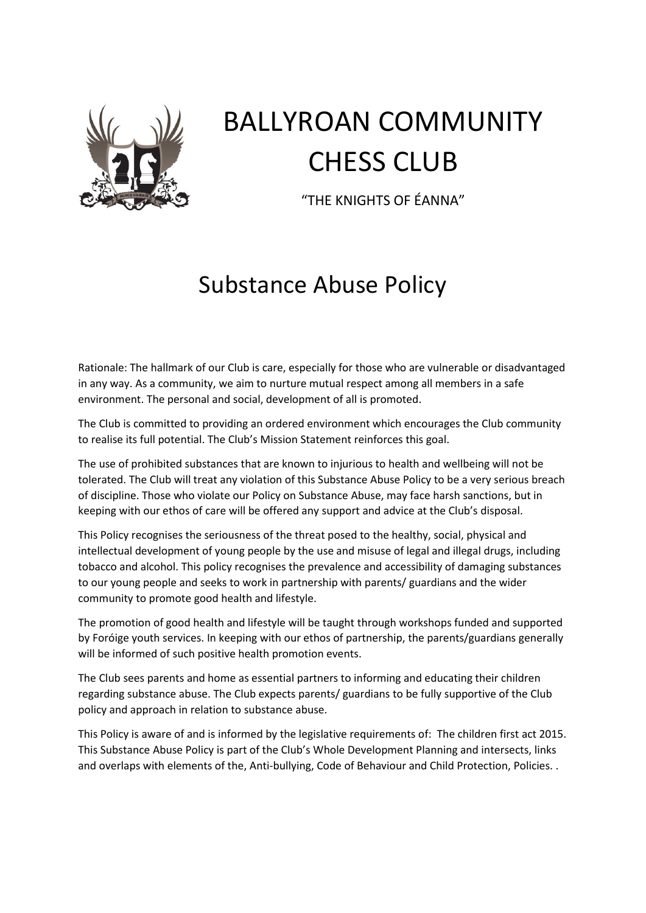

## BALLYROAN COMMUNITY CHESS CLUB

"THE KNIGHTS OF ÉANNA"

## Substance Abuse Policy

Rationale: The hallmark of our Club is care, especially for those who are vulnerable or disadvantaged in any way. As a community, we aim to nurture mutual respect among all members in a safe environment. The personal and social, development of all is promoted.

The Club is committed to providing an ordered environment which encourages the Club community to realise its full potential. The Club's Mission Statement reinforces this goal.

The use of prohibited substances that are known to injurious to health and wellbeing will not be tolerated. The Club will treat any violation of this Substance Abuse Policy to be a very serious breach of discipline. Those who violate our Policy on Substance Abuse, may face harsh sanctions, but in keeping with our ethos of care will be offered any support and advice at the Club's disposal.

This Policy recognises the seriousness of the threat posed to the healthy, social, physical and intellectual development of young people by the use and misuse of legal and illegal drugs, including tobacco and alcohol. This policy recognises the prevalence and accessibility of damaging substances to our young people and seeks to work in partnership with parents/ guardians and the wider community to promote good health and lifestyle.

The promotion of good health and lifestyle will be taught through workshops funded and supported by Foróige youth services. In keeping with our ethos of partnership, the parents/guardians generally will be informed of such positive health promotion events.

The Club sees parents and home as essential partners to informing and educating their children regarding substance abuse. The Club expects parents/ guardians to be fully supportive of the Club policy and approach in relation to substance abuse.

This Policy is aware of and is informed by the legislative requirements of: The children first act 2015. This Substance Abuse Policy is part of the Club's Whole Development Planning and intersects, links and overlaps with elements of the, Anti-bullying, Code of Behaviour and Child Protection, Policies. .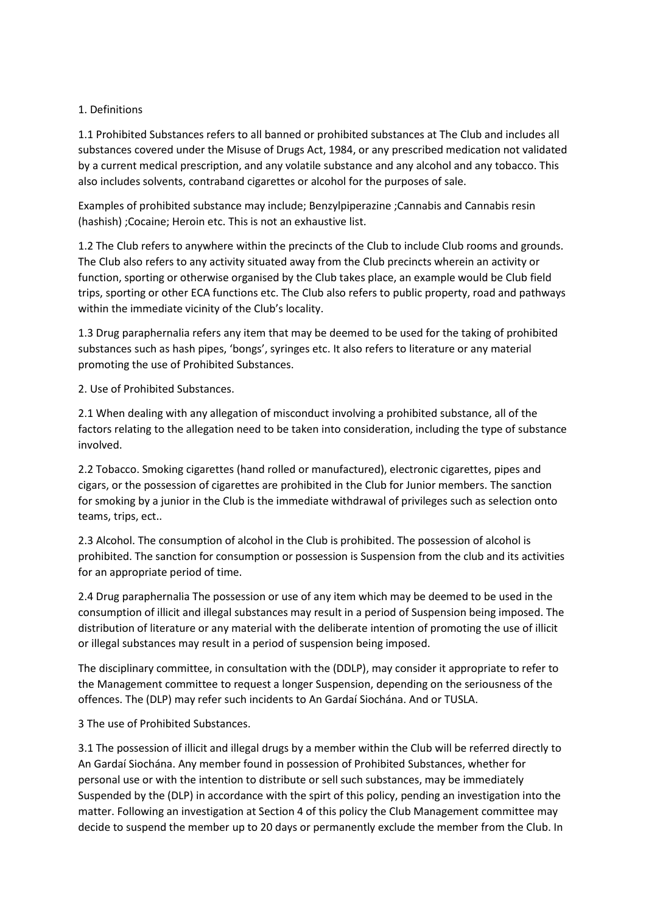## 1. Definitions

1.1 Prohibited Substances refers to all banned or prohibited substances at The Club and includes all substances covered under the Misuse of Drugs Act, 1984, or any prescribed medication not validated by a current medical prescription, and any volatile substance and any alcohol and any tobacco. This also includes solvents, contraband cigarettes or alcohol for the purposes of sale.

Examples of prohibited substance may include; Benzylpiperazine ;Cannabis and Cannabis resin (hashish) ;Cocaine; Heroin etc. This is not an exhaustive list.

1.2 The Club refers to anywhere within the precincts of the Club to include Club rooms and grounds. The Club also refers to any activity situated away from the Club precincts wherein an activity or function, sporting or otherwise organised by the Club takes place, an example would be Club field trips, sporting or other ECA functions etc. The Club also refers to public property, road and pathways within the immediate vicinity of the Club's locality.

1.3 Drug paraphernalia refers any item that may be deemed to be used for the taking of prohibited substances such as hash pipes, 'bongs', syringes etc. It also refers to literature or any material promoting the use of Prohibited Substances.

2. Use of Prohibited Substances.

2.1 When dealing with any allegation of misconduct involving a prohibited substance, all of the factors relating to the allegation need to be taken into consideration, including the type of substance involved.

2.2 Tobacco. Smoking cigarettes (hand rolled or manufactured), electronic cigarettes, pipes and cigars, or the possession of cigarettes are prohibited in the Club for Junior members. The sanction for smoking by a junior in the Club is the immediate withdrawal of privileges such as selection onto teams, trips, ect..

2.3 Alcohol. The consumption of alcohol in the Club is prohibited. The possession of alcohol is prohibited. The sanction for consumption or possession is Suspension from the club and its activities for an appropriate period of time.

2.4 Drug paraphernalia The possession or use of any item which may be deemed to be used in the consumption of illicit and illegal substances may result in a period of Suspension being imposed. The distribution of literature or any material with the deliberate intention of promoting the use of illicit or illegal substances may result in a period of suspension being imposed.

The disciplinary committee, in consultation with the (DDLP), may consider it appropriate to refer to the Management committee to request a longer Suspension, depending on the seriousness of the offences. The (DLP) may refer such incidents to An Gardaí Siochána. And or TUSLA.

3 The use of Prohibited Substances.

3.1 The possession of illicit and illegal drugs by a member within the Club will be referred directly to An Gardaí Siochána. Any member found in possession of Prohibited Substances, whether for personal use or with the intention to distribute or sell such substances, may be immediately Suspended by the (DLP) in accordance with the spirt of this policy, pending an investigation into the matter. Following an investigation at Section 4 of this policy the Club Management committee may decide to suspend the member up to 20 days or permanently exclude the member from the Club. In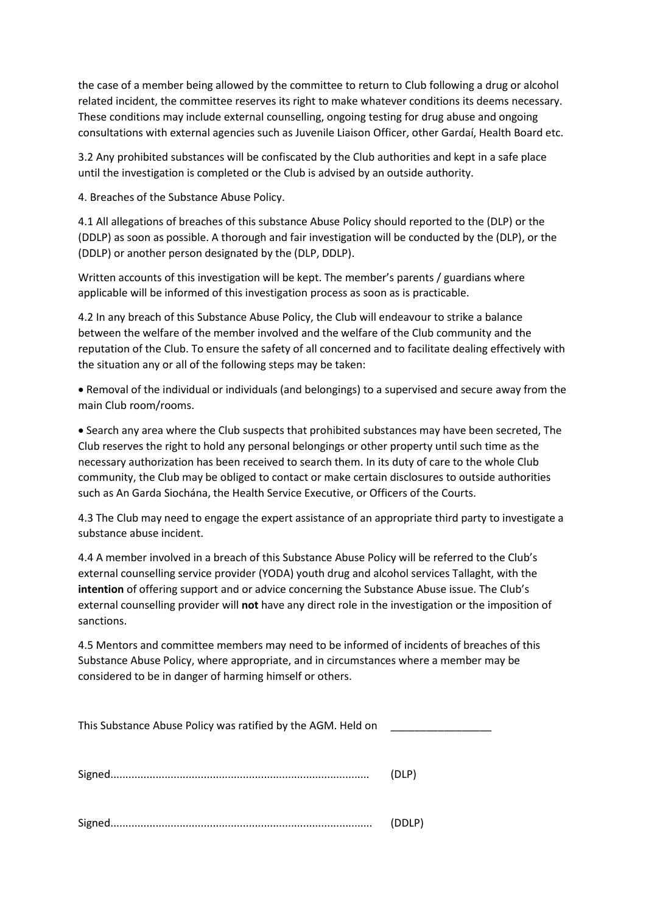the case of a member being allowed by the committee to return to Club following a drug or alcohol related incident, the committee reserves its right to make whatever conditions its deems necessary. These conditions may include external counselling, ongoing testing for drug abuse and ongoing consultations with external agencies such as Juvenile Liaison Officer, other Gardaí, Health Board etc.

3.2 Any prohibited substances will be confiscated by the Club authorities and kept in a safe place until the investigation is completed or the Club is advised by an outside authority.

4. Breaches of the Substance Abuse Policy.

4.1 All allegations of breaches of this substance Abuse Policy should reported to the (DLP) or the (DDLP) as soon as possible. A thorough and fair investigation will be conducted by the (DLP), or the (DDLP) or another person designated by the (DLP, DDLP).

Written accounts of this investigation will be kept. The member's parents / guardians where applicable will be informed of this investigation process as soon as is practicable.

4.2 In any breach of this Substance Abuse Policy, the Club will endeavour to strike a balance between the welfare of the member involved and the welfare of the Club community and the reputation of the Club. To ensure the safety of all concerned and to facilitate dealing effectively with the situation any or all of the following steps may be taken:

• Removal of the individual or individuals (and belongings) to a supervised and secure away from the main Club room/rooms.

• Search any area where the Club suspects that prohibited substances may have been secreted, The Club reserves the right to hold any personal belongings or other property until such time as the necessary authorization has been received to search them. In its duty of care to the whole Club community, the Club may be obliged to contact or make certain disclosures to outside authorities such as An Garda Siochána, the Health Service Executive, or Officers of the Courts.

4.3 The Club may need to engage the expert assistance of an appropriate third party to investigate a substance abuse incident.

4.4 A member involved in a breach of this Substance Abuse Policy will be referred to the Club's external counselling service provider (YODA) youth drug and alcohol services Tallaght, with the **intention** of offering support and or advice concerning the Substance Abuse issue. The Club's external counselling provider will **not** have any direct role in the investigation or the imposition of sanctions.

4.5 Mentors and committee members may need to be informed of incidents of breaches of this Substance Abuse Policy, where appropriate, and in circumstances where a member may be considered to be in danger of harming himself or others.

This Substance Abuse Policy was ratified by the AGM. Held on

Signed...................................................................................... (DLP)

Signed....................................................................................... (DDLP)